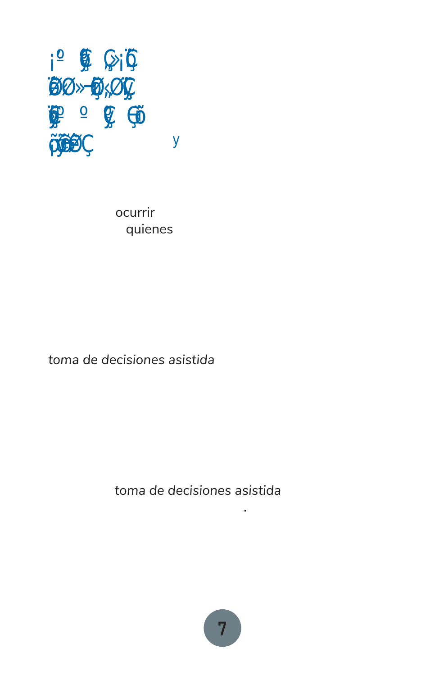# Ó<br>ÖÖ<br>Ö  $\overline{\mathbf{V}}$

Las emergencias pueden ser alarmantes y desconcertantes. Posiblemente te quedes sin luz. Podría ocurrir que pierdas contacto con las personas de quienes dependes. Quizás las calles queden inundadas u obstruidas. Tal vez tengas que salir apresuradamente de tu hogar y dirigirte a un sitio donde jamás has estado para refugiarte, comer y contar con ayuda médica.

Esas son cosas que no puedes controlar. Pero puedes tener autodeterminación y emplear la *toma de decisiones asistida* con personas en las que confías para desarrollar un plan sobre qué hacer en una emergencia. De esa manera, cuando la emergencia ocurra, estarás preparado y podrás poner tu plan en acción.

Esta guía incluye algunas acciones que puedes implementar y formas en las que puedes emplear la *toma de decisiones asistida* para prepararte para las emergencias.

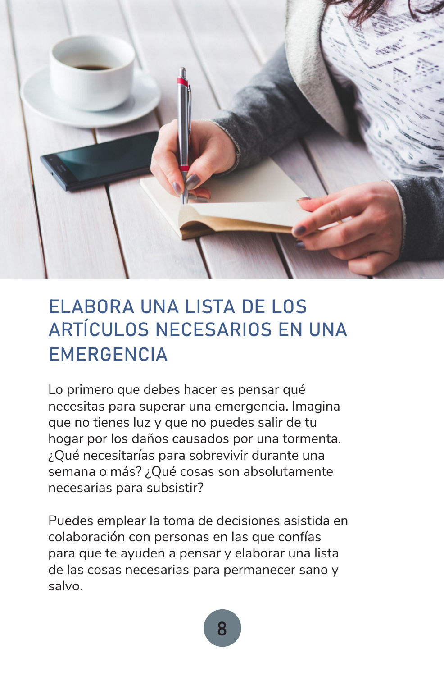

#### ELABORA UNA LISTA DE LOS ARTÍCULOS NECESARIOS EN UNA **EMERGENCIA**

Lo primero que debes hacer es pensar qué necesitas para superar una emergencia. Imagina que no tienes luz y que no puedes salir de tu hogar por los daños causados por una tormenta. ¿Qué necesitarías para sobrevivir durante una semana o más? ¿Qué cosas son absolutamente necesarias para subsistir?

Puedes emplear la toma de decisiones asistida en colaboración con personas en las que confías para que te ayuden a pensar y elaborar una lista de las cosas necesarias para permanecer sano y salvo.

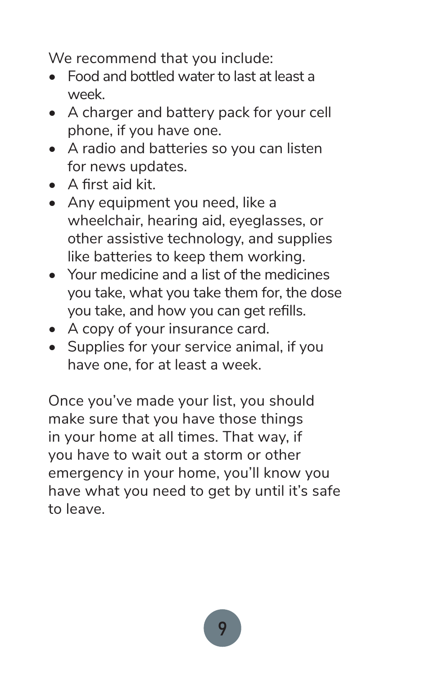We recommend that you include:

- Food and bottled water to last at least a week.
- A charger and battery pack for your cell phone, if you have one.
- A radio and batteries so you can listen for news updates.
- A first aid kit.
- Any equipment you need, like a wheelchair, hearing aid, eyeglasses, or other assistive technology, and supplies like batteries to keep them working.
- Your medicine and a list of the medicines you take, what you take them for, the dose you take, and how you can get refills.
- A copy of your insurance card.
- Supplies for your service animal, if you have one, for at least a week.

Once you've made your list, you should make sure that you have those things in your home at all times. That way, if you have to wait out a storm or other emergency in your home, you'll know you have what you need to get by until it's safe to leave.

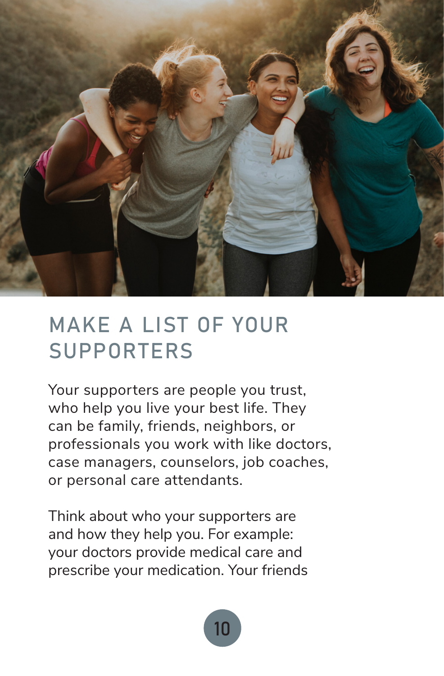

## MAKE A LIST OF YOUR SUPPORTERS

Your supporters are people you trust, who help you live your best life. They can be family, friends, neighbors, or professionals you work with like doctors, case managers, counselors, job coaches, or personal care attendants.

Think about who your supporters are and how they help you. For example: your doctors provide medical care and prescribe your medication. Your friends

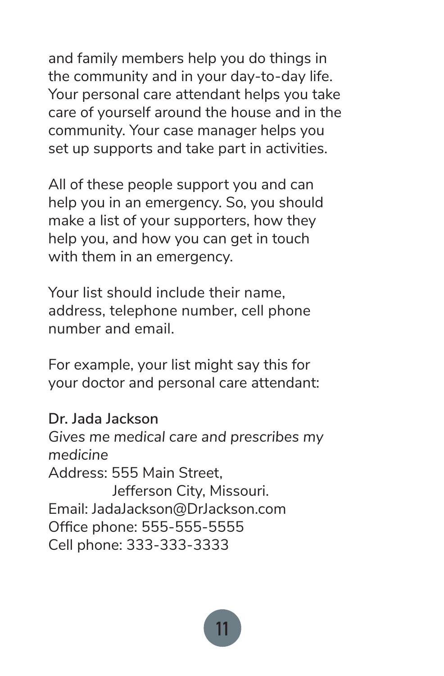and family members help you do things in the community and in your day-to-day life. Your personal care attendant helps you take care of yourself around the house and in the community. Your case manager helps you set up supports and take part in activities.

All of these people support you and can help you in an emergency. So, you should make a list of your supporters, how they help you, and how you can get in touch with them in an emergency.

Your list should include their name, address, telephone number, cell phone number and email.

For example, your list might say this for your doctor and personal care attendant:

**Dr. Jada Jackson** *Gives me medical care and prescribes my medicine* Address: 555 Main Street, Jefferson City, Missouri. Email: JadaJackson@DrJackson.com Office phone: 555-555-5555 Cell phone: 333-333-3333

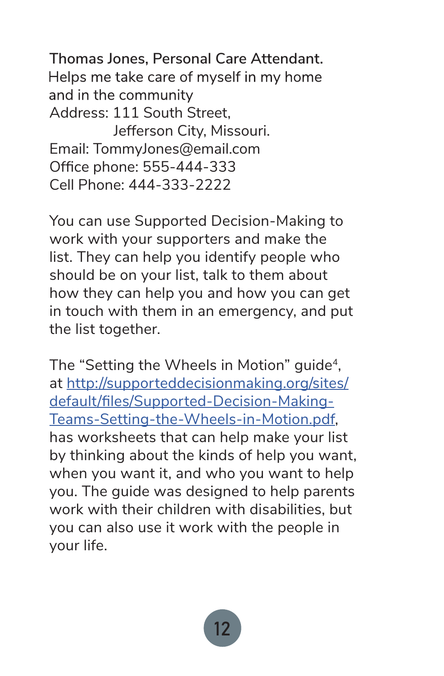**Thomas Jones, Personal Care Attendant.**  Helps me take care of myself in my home and in the community Address: 111 South Street, Jefferson City, Missouri. Email: TommyJones@email.com Office phone: 555-444-333 Cell Phone: 444-333-2222

You can use Supported Decision-Making to work with your supporters and make the list. They can help you identify people who should be on your list, talk to them about how they can help you and how you can get in touch with them in an emergency, and put the list together.

The "Setting the Wheels in Motion" quide<sup>4</sup>, at http://supporteddecisionmaking.org/sites/ default/files/Supported-Decision-Making-Teams-Setting-the-Wheels-in-Motion.pdf, has worksheets that can help make your list by thinking about the kinds of help you want, when you want it, and who you want to help you. The guide was designed to help parents work with their children with disabilities, but you can also use it work with the people in your life.

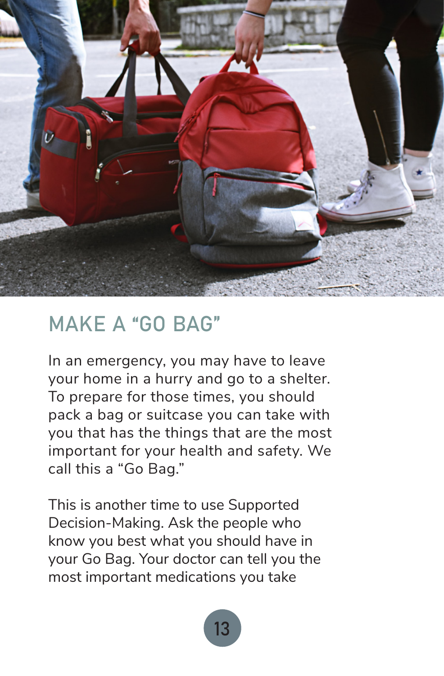

#### MAKE A "GO BAG"

In an emergency, you may have to leave your home in a hurry and go to a shelter. To prepare for those times, you should pack a bag or suitcase you can take with you that has the things that are the most important for your health and safety. We call this a "Go Bag."

This is another time to use Supported Decision-Making. Ask the people who know you best what you should have in your Go Bag. Your doctor can tell you the most important medications you take

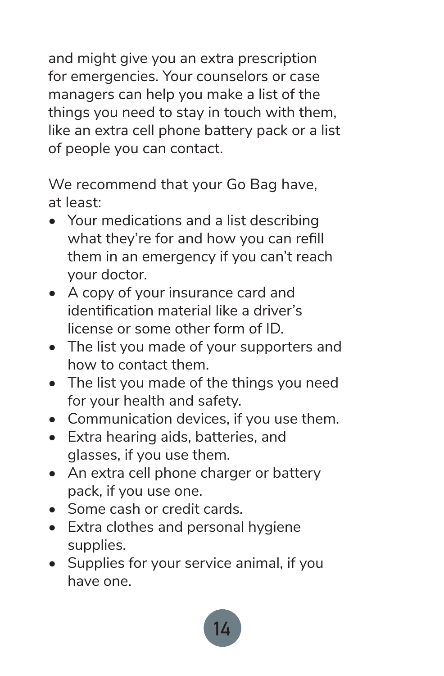and might give you an extra prescription for emergencies. Your counselors or case managers can help you make a list of the things you need to stay in touch with them, like an extra cell phone battery pack or a list of people you can contact.

We recommend that your Go Bag have, at least:

- Your medications and a list describing what they're for and how you can refill them in an emergency if you can't reach your doctor.
- A copy of your insurance card and identification material like a driver's license or some other form of ID.
- The list you made of your supporters and how to contact them.
- The list you made of the things you need for your health and safety.
- Communication devices, if you use them.
- Extra hearing aids, batteries, and glasses, if you use them.
- An extra cell phone charger or battery pack, if you use one.
- Some cash or credit cards.
- Extra clothes and personal hygiene supplies.
- Supplies for your service animal, if you have one.

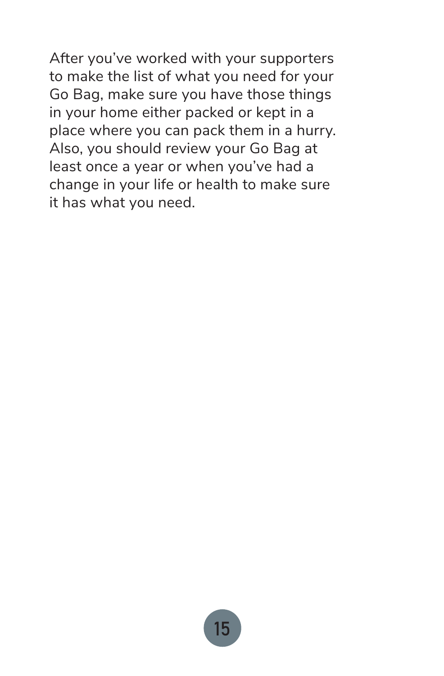After you've worked with your supporters to make the list of what you need for your Go Bag, make sure you have those things in your home either packed or kept in a place where you can pack them in a hurry. Also, you should review your Go Bag at least once a year or when you've had a change in your life or health to make sure it has what you need.

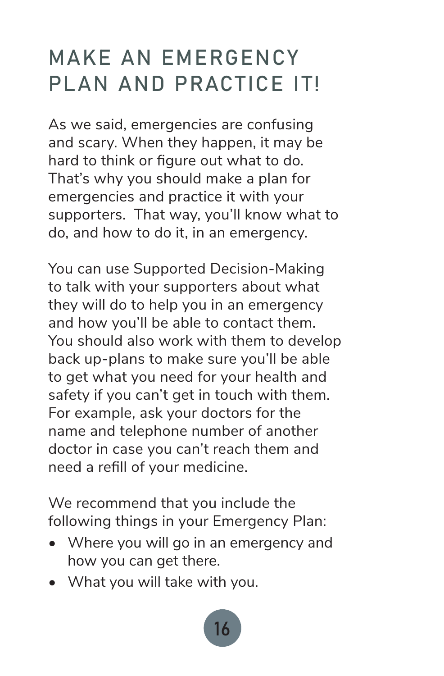# MAKE AN EMERGENCY PLAN AND PRACTICE IT!

As we said, emergencies are confusing and scary. When they happen, it may be hard to think or figure out what to do. That's why you should make a plan for emergencies and practice it with your supporters. That way, you'll know what to do, and how to do it, in an emergency.

You can use Supported Decision-Making to talk with your supporters about what they will do to help you in an emergency and how you'll be able to contact them. You should also work with them to develop back up-plans to make sure you'll be able to get what you need for your health and safety if you can't get in touch with them. For example, ask your doctors for the name and telephone number of another doctor in case you can't reach them and need a refill of your medicine.

We recommend that you include the following things in your Emergency Plan:

- Where you will go in an emergency and how you can get there.
- What you will take with you.

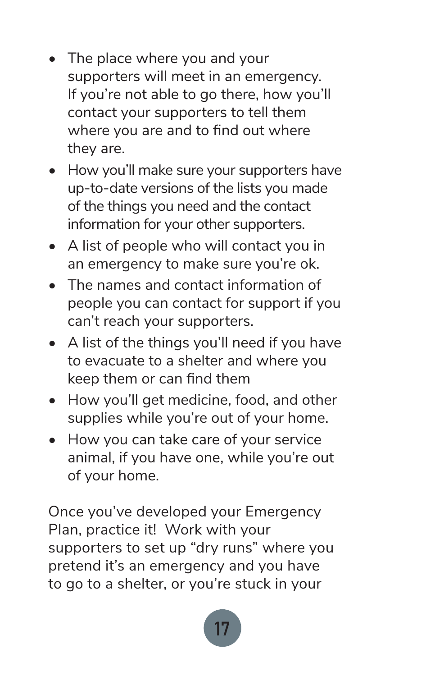- The place where you and your supporters will meet in an emergency. If you're not able to go there, how you'll contact your supporters to tell them where you are and to find out where they are.
- How you'll make sure your supporters have up-to-date versions of the lists you made of the things you need and the contact information for your other supporters.
- A list of people who will contact you in an emergency to make sure you're ok.
- The names and contact information of people you can contact for support if you can't reach your supporters.
- A list of the things you'll need if you have to evacuate to a shelter and where you keep them or can find them
- How you'll get medicine, food, and other supplies while you're out of your home.
- How you can take care of your service animal, if you have one, while you're out of your home.

Once you've developed your Emergency Plan, practice it! Work with your supporters to set up "dry runs" where you pretend it's an emergency and you have to go to a shelter, or you're stuck in your

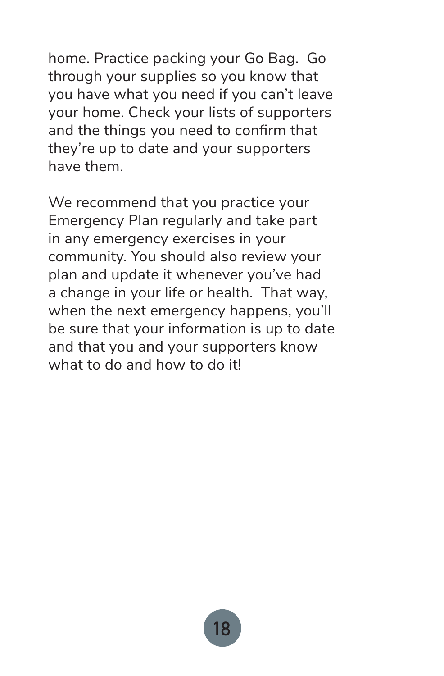home. Practice packing your Go Bag. Go through your supplies so you know that you have what you need if you can't leave your home. Check your lists of supporters and the things you need to confirm that they're up to date and your supporters have them.

We recommend that you practice your Emergency Plan regularly and take part in any emergency exercises in your community. You should also review your plan and update it whenever you've had a change in your life or health. That way, when the next emergency happens, you'll be sure that your information is up to date and that you and your supporters know what to do and how to do it!

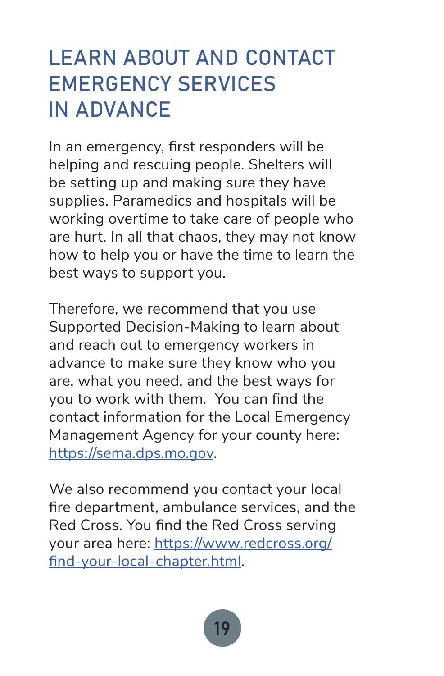# LEARN ABOUT AND CONTACT EMERGENCY SERVICES IN ADVANCE

In an emergency, first responders will be helping and rescuing people. Shelters will be setting up and making sure they have supplies. Paramedics and hospitals will be working overtime to take care of people who are hurt. In all that chaos, they may not know how to help you or have the time to learn the best ways to support you.

Therefore, we recommend that you use Supported Decision-Making to learn about and reach out to emergency workers in advance to make sure they know who you are, what you need, and the best ways for you to work with them. You can find the contact information for the Local Emergency Management Agency for your county here: https://sema.dps.mo.gov.

We also recommend you contact your local fire department, ambulance services, and the Red Cross. You find the Red Cross serving your area here: https://www.redcross.org/ find-your-local-chapter.html.

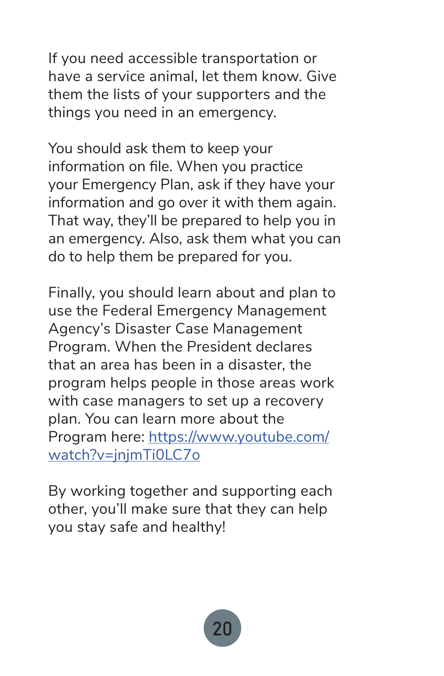If you need accessible transportation or have a service animal, let them know. Give them the lists of your supporters and the things you need in an emergency.

You should ask them to keep your information on file. When you practice your Emergency Plan, ask if they have your information and go over it with them again. That way, they'll be prepared to help you in an emergency. Also, ask them what you can do to help them be prepared for you.

Finally, you should learn about and plan to use the Federal Emergency Management Agency's Disaster Case Management Program. When the President declares that an area has been in a disaster, the program helps people in those areas work with case managers to set up a recovery plan. You can learn more about the Program here: https://www.youtube.com/ watch?v=jnjmTi0LC7o

By working together and supporting each other, you'll make sure that they can help you stay safe and healthy!

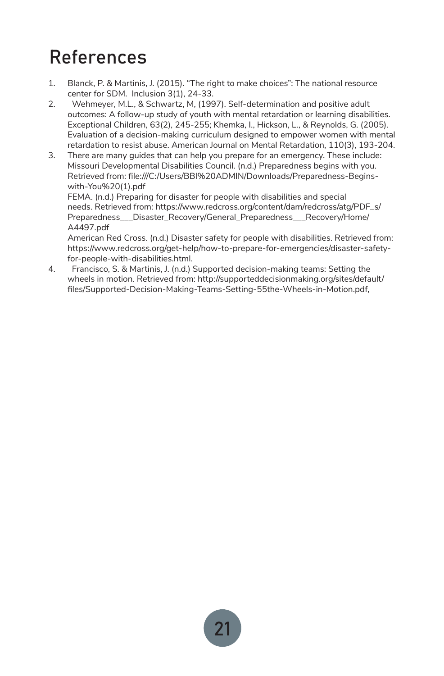### References

- 1. Blanck, P. & Martinis, J. (2015). "The right to make choices": The national resource center for SDM. Inclusion 3(1), 24-33.
- 2. Wehmeyer, M.L., & Schwartz, M, (1997). Self-determination and positive adult outcomes: A follow-up study of youth with mental retardation or learning disabilities. Exceptional Children, 63(2), 245-255; Khemka, I., Hickson, L., & Reynolds, G. (2005). Evaluation of a decision-making curriculum designed to empower women with mental retardation to resist abuse. American Journal on Mental Retardation, 110(3), 193-204.
- 3. There are many guides that can help you prepare for an emergency. These include: Missouri Developmental Disabilities Council. (n.d.) Preparedness begins with you. Retrieved from: file:///C:/Users/BBI%20ADMIN/Downloads/Preparedness-Beginswith-You%20(1).pdf

FEMA. (n.d.) Preparing for disaster for people with disabilities and special needs. Retrieved from: https://www.redcross.org/content/dam/redcross/atg/PDF\_s/ Preparedness\_\_\_Disaster\_Recovery/General\_Preparedness\_\_\_Recovery/Home/ A4497.pdf

American Red Cross. (n.d.) Disaster safety for people with disabilities. Retrieved from: https://www.redcross.org/get-help/how-to-prepare-for-emergencies/disaster-safetyfor-people-with-disabilities.html.

4. Francisco, S. & Martinis, J. (n.d.) Supported decision-making teams: Setting the wheels in motion. Retrieved from: http://supporteddecisionmaking.org/sites/default/ files/Supported-Decision-Making-Teams-Setting-55the-Wheels-in-Motion.pdf,